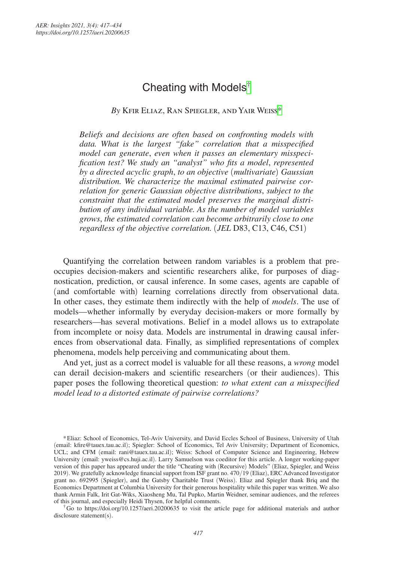# Cheating with Models[†](#page-0-0)

*By* Kfir Eliaz, Ran Spiegler, and Yair Weiss[\\*](#page-0-1)

*Beliefs and decisions are often based on confronting models with data. What is the largest "fake" correlation that a misspecified model can generate*, *even when it passes an elementary misspecification test? We study an "analyst" who fits a model*, *represented by a directed acyclic graph*, *to an objective* (*multivariate*) *Gaussian distribution. We characterize the maximal estimated pairwise correlation for generic Gaussian objective distributions*, *subject to the constraint that the estimated model preserves the marginal distribution of any individual variable. As the number of model variables grows*, *the estimated correlation can become arbitrarily close to one regardless of the objective correlation.* (*JEL* D83, C13, C46, C51)

Quantifying the correlation between random variables is a problem that preoccupies decision-makers and scientific researchers alike, for purposes of diagnostication, prediction, or causal inference. In some cases, agents are capable of (and comfortable with) learning correlations directly from observational data. In other cases, they estimate them indirectly with the help of *models*. The use of models—whether informally by everyday decision-makers or more formally by researchers—has several motivations. Belief in a model allows us to extrapolate from incomplete or noisy data. Models are instrumental in drawing causal inferences from observational data. Finally, as simplified representations of complex phenomena, models help perceiving and communicating about them.

And yet, just as a correct model is valuable for all these reasons, a *wrong* model can derail decision-makers and scientific researchers (or their audiences). This paper poses the following theoretical question: *to what extent can a misspecified model lead to a distorted estimate of pairwise correlations?*

<span id="page-0-0"></span>†Go to <https://doi.org/10.1257/aeri.20200635> to visit the article page for additional materials and author disclosure statement(s).

<span id="page-0-1"></span><sup>\*</sup>Eliaz: School of Economics, Tel-Aviv University, and David Eccles School of Business, University of Utah (email: [kfire@tauex.tau.ac.il](mailto:kfire@tauex.tau.ac.il)); Spiegler: School of Economics, Tel Aviv University; Department of Economics, UCL; and CFM (email: [rani@tauex.tau.ac.il](mailto:rani@tauex.tau.ac.il)); Weiss: School of Computer Science and Engineering, Hebrew University (email: [yweiss@cs.huji.ac.il](mailto:yweiss@cs.huji.ac.il)). Larry Samuelson was coeditor for this article. A longer working-paper version of this paper has appeared under the title "Cheating with (Recursive) Models" (Eliaz, Spiegler, and Weiss 2019). We gratefully acknowledge financial support from ISF grant no. 470/19 (Eliaz), ERC Advanced Investigator grant no. 692995 (Spiegler), and the Gatsby Charitable Trust (Weiss). Eliaz and Spiegler thank Briq and the Economics Department at Columbia University for their generous hospitality while this paper was written. We also thank Armin Falk, Irit Gat-Wiks, Xiaosheng Mu, Tal Pupko, Martin Weidner, seminar audiences, and the referees of this journal, and especially Heidi Thysen, for helpful comments.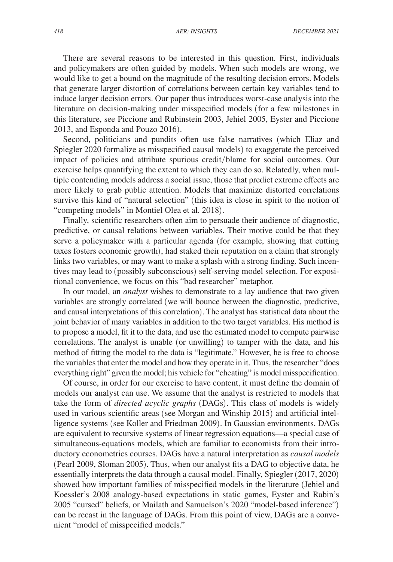There are several reasons to be interested in this question. First, individuals and policymakers are often guided by models. When such models are wrong, we would like to get a bound on the magnitude of the resulting decision errors. Models that generate larger distortion of correlations between certain key variables tend to induce larger decision errors. Our paper thus introduces worst-case analysis into the literature on decision-making under misspecified models (for a few milestones in this literature, see Piccione and Rubinstein 2003, Jehiel 2005, Eyster and Piccione 2013, and Esponda and Pouzo 2016).

Second, politicians and pundits often use false narratives (which Eliaz and Spiegler 2020 formalize as misspecified causal models) to exaggerate the perceived impact of policies and attribute spurious credit/blame for social outcomes. Our exercise helps quantifying the extent to which they can do so. Relatedly, when multiple contending models address a social issue, those that predict extreme effects are more likely to grab public attention. Models that maximize distorted correlations survive this kind of "natural selection" (this idea is close in spirit to the notion of "competing models" in Montiel Olea et al. 2018).

Finally, scientific researchers often aim to persuade their audience of diagnostic, predictive, or causal relations between variables. Their motive could be that they serve a policymaker with a particular agenda (for example, showing that cutting taxes fosters economic growth), had staked their reputation on a claim that strongly links two variables, or may want to make a splash with a strong finding. Such incentives may lead to (possibly subconscious) self-serving model selection. For expositional convenience, we focus on this "bad researcher" metaphor.

In our model, an *analyst* wishes to demonstrate to a lay audience that two given variables are strongly correlated (we will bounce between the diagnostic, predictive, and causal interpretations of this correlation). The analyst has statistical data about the joint behavior of many variables in addition to the two target variables. His method is to propose a model, fit it to the data, and use the estimated model to compute pairwise correlations. The analyst is unable (or unwilling) to tamper with the data, and his method of fitting the model to the data is "legitimate." However, he is free to choose the variables that enter the model and how they operate in it. Thus, the researcher "does everything right" given the model; his vehicle for "cheating" is model misspecification.

Of course, in order for our exercise to have content, it must define the domain of models our analyst can use. We assume that the analyst is restricted to models that take the form of *directed acyclic graphs* (DAGs). This class of models is widely used in various scientific areas (see Morgan and Winship 2015) and artificial intelligence systems (see Koller and Friedman 2009). In Gaussian environments, DAGs are equivalent to recursive systems of linear regression equations—a special case of simultaneous-equations models, which are familiar to economists from their introductory econometrics courses. DAGs have a natural interpretation as *causal models* (Pearl 2009, Sloman 2005). Thus, when our analyst fits a DAG to objective data, he essentially interprets the data through a causal model. Finally, Spiegler (2017, 2020) showed how important families of misspecified models in the literature (Jehiel and Koessler's 2008 analogy-based expectations in static games, Eyster and Rabin's 2005 "cursed" beliefs, or Mailath and Samuelson's 2020 "model-based inference") can be recast in the language of DAGs. From this point of view, DAGs are a convenient "model of misspecified models."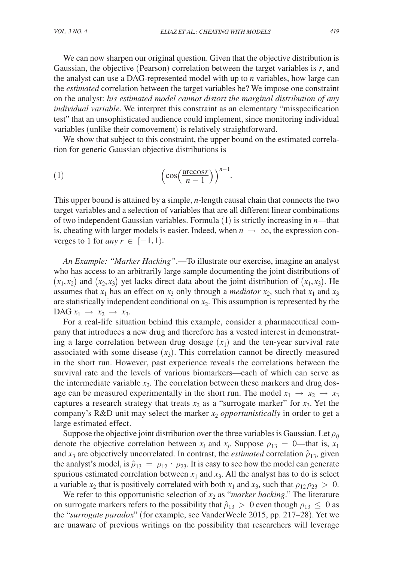We can now sharpen our original question. Given that the objective distribution is Gaussian, the objective (Pearson) correlation between the target variables is *r*, and the analyst can use a DAG-represented model with up to *n* variables, how large can the *estimated* correlation between the target variables be? We impose one constraint on the analyst: *his estimated model cannot distort the marginal distribution of any individual variable*. We interpret this constraint as an elementary "misspecification test" that an unsophisticated audience could implement, since monitoring individual variables (unlike their comovement) is relatively straightforward.

We show that subject to this constraint, the upper bound on the estimated correla-

tion for generic Gaussian objective distributions is  
\n(1) 
$$
\left(\cos\left(\frac{\arccos r}{n-1}\right)\right)^{n-1}.
$$

This upper bound is attained by a simple, *n*-length causal chain that connects the two target variables and a selection of variables that are all different linear combinations of two independent Gaussian variables. Formula (1) is strictly increasing in *n*—that is, cheating with larger models is easier. Indeed, when  $n \to \infty$ , the expression converges to 1 for *any*  $r \in [-1, 1)$ .

*An Example: "Marker Hacking"*.—To illustrate our exercise, imagine an analyst who has access to an arbitrarily large sample documenting the joint distributions of  $(x_1, x_2)$  and  $(x_2, x_3)$  yet lacks direct data about the joint distribution of  $(x_1, x_3)$ . He assumes that  $x_1$  has an effect on  $x_3$  only through a *mediator*  $x_2$ , such that  $x_1$  and  $x_3$ are statistically independent conditional on  $x_2$ . This assumption is represented by the DAG  $x_1 \rightarrow x_2 \rightarrow x_3$ .

For a real-life situation behind this example, consider a pharmaceutical company that introduces a new drug and therefore has a vested interest in demonstrating a large correlation between drug dosage  $(x<sub>1</sub>)$  and the ten-year survival rate associated with some disease  $(x_3)$ . This correlation cannot be directly measured in the short run. However, past experience reveals the correlations between the survival rate and the levels of various biomarkers—each of which can serve as the intermediate variable  $x<sub>2</sub>$ . The correlation between these markers and drug dosage can be measured experimentally in the short run. The model  $x_1 \rightarrow x_2 \rightarrow x_3$ captures a research strategy that treats  $x_2$  as a "surrogate marker" for  $x_3$ . Yet the company's R&D unit may select the marker  $x_2$  *opportunistically* in order to get a large estimated effect.

Suppose the objective joint distribution over the three variables is Gaussian. Let  $\rho_{ii}$ denote the objective correlation between  $x_i$  and  $x_j$ . Suppose  $\rho_{13} = 0$ —that is,  $x_1$ and  $x_3$  are objectively uncorrelated. In contrast, the *estimated* correlation  $\hat{\rho}_{13}$ , given the analyst's model, is  $\hat{\rho}_{13} = \rho_{12} \cdot \rho_{23}$ . It is easy to see how the model can generate spurious estimated correlation between  $x_1$  and  $x_3$ . All the analyst has to do is select a variable  $x_2$  that is positively correlated with both  $x_1$  and  $x_3$ , such that  $\rho_{12} \rho_{23} > 0$ .

We refer to this opportunistic selection of  $x_2$  as "*marker hacking*." The literature on surrogate markers refers to the possibility that  $\hat{\rho}_{13} > 0$  even though  $\rho_{13} \leq 0$  as the "*surrogate paradox*" (for example, see VanderWeele 2015, pp. 217–28). Yet we are unaware of previous writings on the possibility that researchers will leverage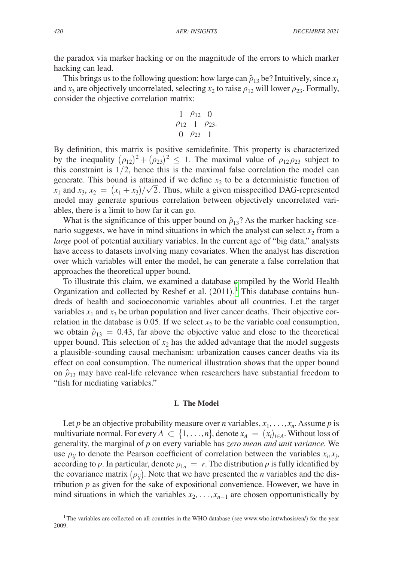the paradox via marker hacking or on the magnitude of the errors to which marker hacking can lead.

This brings us to the following question: how large can  $\hat{\rho}_{13}$  be? Intuitively, since  $x_1$ and  $x_3$  are objectively uncorrelated, selecting  $x_2$  to raise  $\rho_{12}$  will lower  $\rho_{23}$ . Formally, consider the objective correlation matrix:

$$
\begin{array}{ccc}\n1 & \rho_{12} & 0 \\
\rho_{12} & 1 & \rho_{23} \\
0 & \rho_{23} & 1\n\end{array}
$$

By definition, this matrix is positive semidefinite. This property is characterized by the inequality  $(\rho_{12})^2 + (\rho_{23})^2 \leq 1$ . The maximal value of  $\rho_{12} \rho_{23}$  subject to this constraint is  $1/2$ , hence this is the maximal false correlation the model can generate. This bound is attained if we define  $x_2$  to be a deterministic function of  $x_1$  and  $x_3$ ,  $x_2 = (x_1 + x_3)/\sqrt{2}$ . Thus, while a given misspecified DAG-represented model may generate spurious correlation between objectively uncorrelated variables, there is a limit to how far it can go.

What is the significance of this upper bound on  $\hat{\rho}_{13}$ ? As the marker hacking scenario suggests, we have in mind situations in which the analyst can select  $x_2$  from a *large* pool of potential auxiliary variables. In the current age of "big data," analysts have access to datasets involving many covariates. When the analyst has discretion over which variables will enter the model, he can generate a false correlation that approaches the theoretical upper bound.

To illustrate this claim, we examined a database compiled by the World Health Organization and collected by Reshef et al. (20[1](#page-3-0)1).<sup>1</sup> This database contains hundreds of health and socioeconomic variables about all countries. Let the target variables  $x_1$  and  $x_3$  be urban population and liver cancer deaths. Their objective correlation in the database is 0.05. If we select  $x_2$  to be the variable coal consumption, we obtain  $\hat{\rho}_{13} = 0.43$ , far above the objective value and close to the theoretical upper bound. This selection of  $x_2$  has the added advantage that the model suggests a plausible-sounding causal mechanism: urbanization causes cancer deaths via its effect on coal consumption. The numerical illustration shows that the upper bound on  $\hat{\rho}_{13}$  may have real-life relevance when researchers have substantial freedom to "fish for mediating variables."

#### **I. The Model**

Let *p* be an objective probability measure over *n* variables,  $x_1, \ldots, x_n$ . Assume *p* is multivariate normal. For every  $A \subset \{1, \ldots, n\}$ , denote  $x_A = (x_i)_{i \in A}$ . Without loss of generality, the marginal of *p* on every variable has *zero mean and unit variance.* We use  $\rho_{ij}$  to denote the Pearson coefficient of correlation between the variables  $x_i, x_j$ , according to *p*. In particular, denote  $\rho_{1n} = r$ . The distribution *p* is fully identified by the covariance matrix  $(\rho_{ij})$ . Note that we have presented the *n* variables and the distribution  $p$  as given for the sake of expositional convenience. However, we have in mind situations in which the variables  $x_2, \ldots, x_{n-1}$  are chosen opportunistically by

<span id="page-3-0"></span><sup>&</sup>lt;sup>1</sup>The variables are collected on all countries in the WHO database (see [www.who.int/whosis/en/](http://www.who.int/whosis/en/)) for the year 2009.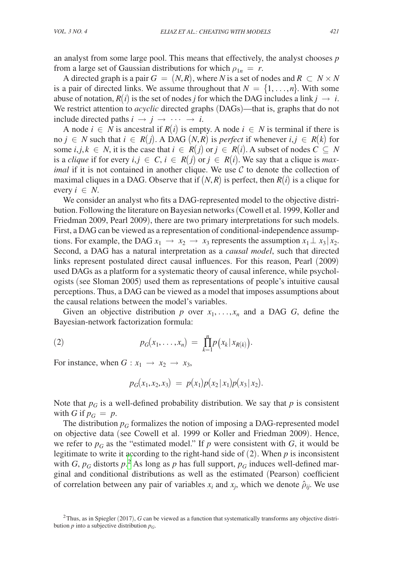an analyst from some large pool. This means that effectively, the analyst chooses *p* from a large set of Gaussian distributions for which  $\rho_{1n} = r$ .

A directed graph is a pair  $G = (N, R)$ , where N is a set of nodes and  $R \subset N \times N$ is a pair of directed links. We assume throughout that  $N = \{1, \ldots, n\}$ . With some abuse of notation,  $R(i)$  is the set of nodes *j* for which the DAG includes a link  $j \rightarrow i$ . We restrict attention to *acyclic* directed graphs (DAGs)—that is, graphs that do not include directed paths  $i \rightarrow j \rightarrow \cdots \rightarrow i$ .

A node *i* ∈ *N* is ancestral if  $R(i)$  is empty. A node *i* ∈ *N* is terminal if there is no *j* ∈ *N* such that *i* ∈ *R*(*j*). A DAG (*N,R*) is *perfect* if whenever *i,j* ∈ *R*(*k*) for some *i*,*j*,  $k \in N$ , it is the case that  $i \in R(j)$  or  $j \in R(i)$ . A subset of nodes  $C \subseteq N$ is a *clique* if for every  $i, j \in C$ ,  $i \in R(j)$  or  $j \in R(i)$ . We say that a clique is *maximal* if it is not contained in another clique. We use  $C$  to denote the collection of maximal cliques in a DAG. Observe that if  $(N, R)$  is perfect, then  $R(i)$  is a clique for every  $i \in N$ .

We consider an analyst who fits a DAG-represented model to the objective distribution. Following the literature on Bayesian networks (Cowell et al. 1999, Koller and Friedman 2009, Pearl 2009), there are two primary interpretations for such models. First, a DAG can be viewed as a representation of conditional-independence assumptions. For example, the DAG  $x_1 \rightarrow x_2 \rightarrow x_3$  represents the assumption  $x_1 \perp x_3 | x_2$ . Second, a DAG has a natural interpretation as a *causal model*, such that directed links represent postulated direct causal influences. For this reason, Pearl (2009) used DAGs as a platform for a systematic theory of causal inference, while psychologists (see Sloman 2005) used them as representations of people's intuitive causal perceptions. Thus, a DAG can be viewed as a model that imposes assumptions about the causal relations between the model's variables.

Given an objective distribution p over  $x_1, \ldots, x_n$  and a DAG G, define the Bayesian-network factorization formula:

(2) 
$$
p_G(x_1,...,x_n) = \prod_{k=1}^n p(x_k | x_{R(k)}).
$$

For instance, when  $G: x_1 \rightarrow x_2 \rightarrow x_3$ ,

$$
p_G(x_1,x_2,x_3) = p(x_1)p(x_2|x_1)p(x_3|x_2).
$$

Note that  $p_G$  is a well-defined probability distribution. We say that  $p$  is consistent with *G* if  $p_G = p$ .

The distribution  $p_G$  formalizes the notion of imposing a DAG-represented model on objective data (see Cowell et al. 1999 or Koller and Friedman 2009). Hence, we refer to  $p_G$  as the "estimated model." If p were consistent with G, it would be legitimate to write it according to the right-hand side of (2). When *p* is inconsistent with *G*,  $p_G$  distorts  $p^2$  $p^2$ . As long as *p* has full support,  $p_G$  induces well-defined marginal and conditional distributions as well as the estimated (Pearson) coefficient of correlation between any pair of variables  $x_i$  and  $x_j$ , which we denote  $\hat{\rho}_{ij}$ . We use

<span id="page-4-0"></span><sup>&</sup>lt;sup>2</sup>Thus, as in Spiegler (2017), *G* can be viewed as a function that systematically transforms any objective distribution  $p$  into a subjective distribution  $p_G$ .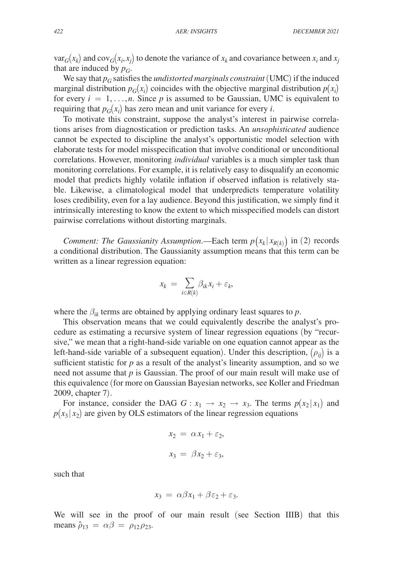$var_G(x_k)$  and  $cov_G(x_i, x_j)$  to denote the variance of  $x_k$  and covariance between  $x_i$  and  $x_j$ that are induced by  $p_G$ .

We say that  $p_G$  satisfies the *undistorted marginals constraint* (UMC) if the induced marginal distribution  $p_G(x_i)$  coincides with the objective marginal distribution  $p(x_i)$ for every  $i = 1, \ldots, n$ . Since p is assumed to be Gaussian, UMC is equivalent to requiring that  $p_G(x_i)$  has zero mean and unit variance for every *i*.

To motivate this constraint, suppose the analyst's interest in pairwise correlations arises from diagnostication or prediction tasks. An *unsophisticated* audience cannot be expected to discipline the analyst's opportunistic model selection with elaborate tests for model misspecification that involve conditional or unconditional correlations. However, monitoring *individual* variables is a much simpler task than monitoring correlations. For example, it is relatively easy to disqualify an economic model that predicts highly volatile inflation if observed inflation is relatively stable. Likewise, a climatological model that underpredicts temperature volatility loses credibility, even for a lay audience. Beyond this justification, we simply find it intrinsically interesting to know the extent to which misspecified models can distort pairwise correlations without distorting marginals.

*Comment: The Gaussianity Assumption.*—Each term  $p(x_k | x_{R(k)})$  in (2) records a conditional distribution. The Gaussianity assumption means that this term can be written as a linear regression equation:

$$
x_k = \sum_{i \in R(k)} \beta_{ik} x_i + \varepsilon_k,
$$

where the  $\beta_{ik}$  terms are obtained by applying ordinary least squares to *p*.

This observation means that we could equivalently describe the analyst's procedure as estimating a recursive system of linear regression equations (by "recursive," we mean that a right-hand-side variable on one equation cannot appear as the left-hand-side variable of a subsequent equation). Under this description,  $(\rho_{ii})$  is a sufficient statistic for  $p$  as a result of the analyst's linearity assumption, and so we need not assume that *p* is Gaussian. The proof of our main result will make use of this equivalence (for more on Gaussian Bayesian networks, see Koller and Friedman 2009, chapter 7).

For instance, consider the DAG  $G: x_1 \rightarrow x_2 \rightarrow x_3$ . The terms  $p(x_2 | x_1)$  and  $p(x_3 | x_2)$  are given by OLS estimators of the linear regression equations

$$
x_2 = \alpha x_1 + \varepsilon_2,
$$
  

$$
x_3 = \beta x_2 + \varepsilon_3,
$$

such that

$$
x_3 = \alpha \beta x_1 + \beta \varepsilon_2 + \varepsilon_3.
$$

We will see in the proof of our main result (see Section IIIB) that this means  $\hat{\rho}_{13} = \alpha \beta = \rho_{12} \rho_{23}$ .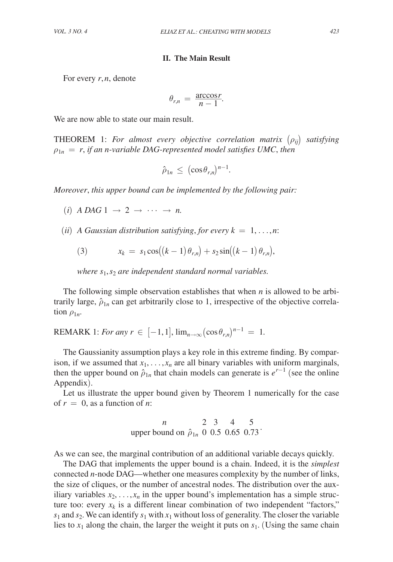#### **II. The Main Result**

For every *r*, *n*, denote

For every *r*, *n*, denote  
\n
$$
\theta_{r,n} = \frac{\arccos r}{n-1}.
$$

We are now able to state our main result.

THEOREM 1: *For almost every objective correlation matrix*  $(\rho_{ij})$  *satisfying*  $\rho_{1n} = r$ , if an *n*-variable DAG-represented model satisfies UMC, then

$$
\hat{\rho}_{1n} \, \leq \, (\cos \theta_{r,n})^{n-1}.
$$

*Moreover*, *this upper bound can be implemented by the following pair:*

 $(i)$  *A DAG*  $1 \rightarrow 2 \rightarrow \cdots \rightarrow n$ .

(*ii*) *A* Gaussian distribution satisfying, for every  $k = 1, \ldots, n$ :

(3) 
$$
x_k = s_1 \cos((k-1)\theta_{r,n}) + s_2 \sin((k-1)\theta_{r,n}),
$$

*where s*1, *s*2 *are independent standard normal variables.*

The following simple observation establishes that when *n* is allowed to be arbitrarily large,  $\hat{\rho}_{1n}$  can get arbitrarily close to 1, irrespective of the objective correlation  $\rho_{1n}$ .

REMARK 1: *For any r*  $\in$  [-1,1],  $\lim_{n\to\infty} (\cos \theta_{rn})^{n-1} = 1$ .

The Gaussianity assumption plays a key role in this extreme finding. By comparison, if we assumed that  $x_1, \ldots, x_n$  are all binary variables with uniform marginals, then the upper bound on  $\hat{\rho}_{1n}$  that chain models can generate is  $e^{r-1}$  (see the online Appendix).

Let us illustrate the upper bound given by Theorem 1 numerically for the case of  $r = 0$ , as a function of *n*:

of 
$$
r = 0
$$
, as a function of *n*:  
\n $n = 2 \quad 3 = 4 \quad 5$   
\nupper bound on  $\hat{\rho}_{1n} = 0 \quad 0.5 \quad 0.65 \quad 0.73$ 

As we can see, the marginal contribution of an additional variable decays quickly.

The DAG that implements the upper bound is a chain. Indeed, it is the *simplest* connected *n*-node DAG—whether one measures complexity by the number of links, the size of cliques, or the number of ancestral nodes. The distribution over the auxiliary variables  $x_2, \ldots, x_n$  in the upper bound's implementation has a simple structure too: every  $x_k$  is a different linear combination of two independent "factors,"  $s_1$  and  $s_2$ . We can identify  $s_1$  with  $x_1$  without loss of generality. The closer the variable lies to  $x_1$  along the chain, the larger the weight it puts on  $s_1$ . (Using the same chain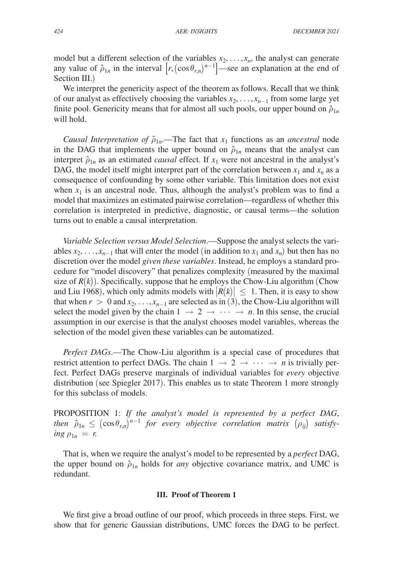model but a different selection of the variables  $x_2, \ldots, x_n$ , the analyst can generate any value of  $\hat{\rho}_{1n}$  in the interval  $[r, (\cos \theta_{r,n})^{n-1}]$ —see an explanation at the end of Section III.)

We interpret the genericity aspect of the theorem as follows. Recall that we think of our analyst as effectively choosing the variables  $x_2, \ldots, x_{n-1}$  from some large yet finite pool. Genericity means that for almost all such pools, our upper bound on  $\hat{\rho}_{1n}$ will hold.

*Causal Interpretation of*  $\hat{\rho}_{1n}$ —The fact that  $x_1$  functions as an *ancestral* node in the DAG that implements the upper bound on  $\hat{\rho}_{1n}$  means that the analyst can interpret  $\hat{\rho}_{1n}$  as an estimated *causal* effect. If  $x_1$  were not ancestral in the analyst's DAG, the model itself might interpret part of the correlation between  $x_1$  and  $x_n$  as a consequence of confounding by some other variable. This limitation does not exist when  $x_1$  is an ancestral node. Thus, although the analyst's problem was to find a model that maximizes an estimated pairwise correlation—regardless of whether this correlation is interpreted in predictive, diagnostic, or causal terms—the solution turns out to enable a causal interpretation.

*Variable Selection versus Model Selection*.—Suppose the analyst selects the variables  $x_2, \ldots, x_{n-1}$  that will enter the model (in addition to  $x_1$  and  $x_n$ ) but then has no discretion over the model *given these variables*. Instead, he employs a standard procedure for "model discovery" that penalizes complexity (measured by the maximal size of  $R(k)$ ). Specifically, suppose that he employs the Chow-Liu algorithm (Chow and Liu 1968), which only admits models with  $|R(k)| \leq 1$ . Then, it is easy to show that when  $r > 0$  and  $x_2, \ldots, x_{n-1}$  are selected as in (3), the Chow-Liu algorithm will select the model given by the chain  $1 \rightarrow 2 \rightarrow \cdots \rightarrow n$ . In this sense, the crucial assumption in our exercise is that the analyst chooses model variables, whereas the selection of the model given these variables can be automatized.

*Perfect DAGs*.—The Chow-Liu algorithm is a special case of procedures that restrict attention to perfect DAGs. The chain  $1 \rightarrow 2 \rightarrow \cdots \rightarrow n$  is trivially perfect. Perfect DAGs preserve marginals of individual variables for *every* objective distribution (see Spiegler 2017). This enables us to state Theorem 1 more strongly for this subclass of models.

PROPOSITION 1: *If the analyst's model is represented by a perfect DAG*, *then*  $\hat{\rho}_{1n} \leq (\cos \theta_{r,n})^{n-1}$  *for every objective correlation matrix*  $(\rho_{ij})$  *satisfy*- $\log \rho_{1n} = r$ .

That is, when we require the analyst's model to be represented by a *perfect* DAG, the upper bound on  $\hat{\rho}_{1n}$  holds for *any* objective covariance matrix, and UMC is redundant.

#### **III. Proof of Theorem 1**

We first give a broad outline of our proof, which proceeds in three steps. First, we show that for generic Gaussian distributions, UMC forces the DAG to be perfect.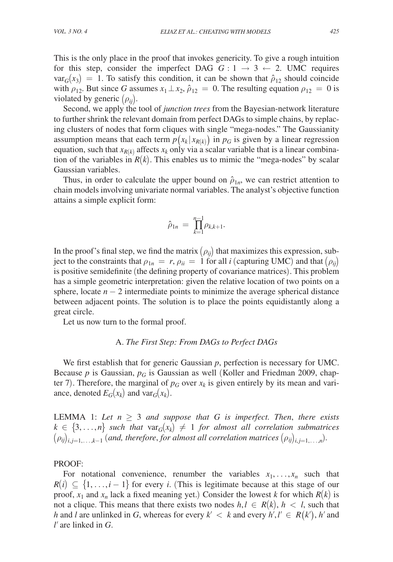This is the only place in the proof that invokes genericity. To give a rough intuition for this step, consider the imperfect DAG  $G: 1 \rightarrow 3 \leftarrow 2$ . UMC requires  $var_G(x_3) = 1$ . To satisfy this condition, it can be shown that  $\hat{\rho}_{12}$  should coincide with  $\rho_{12}$ . But since *G* assumes  $x_1 \perp x_2$ ,  $\hat{\rho}_{12} = 0$ . The resulting equation  $\rho_{12} = 0$  is violated by generic (ρ*ij*).

Second, we apply the tool of *junction trees* from the Bayesian-network literature to further shrink the relevant domain from perfect DAGs to simple chains, by replacing clusters of nodes that form cliques with single "mega-nodes." The Gaussianity assumption means that each term  $p(x_k | x_{R(k)})$  in  $p_G$  is given by a linear regression equation, such that  $x_{R(k)}$  affects  $x_k$  only via a scalar variable that is a linear combination of the variables in  $R(k)$ . This enables us to mimic the "mega-nodes" by scalar Gaussian variables.

Thus, in order to calculate the upper bound on  $\hat{\rho}_{1n}$ , we can restrict attention to chain models involving univariate normal variables. The analyst's objective function attains a simple explicit form:

$$
\hat{\rho}_{1n} \, = \, \prod_{k=1}^{n-1} \rho_{k,k+1}.
$$

In the proof's final step, we find the matrix  $(\rho_{ii})$  that maximizes this expression, subject to the constraints that  $\rho_{1n} = r$ ,  $\rho_{ii} = 1$  for all *i* (capturing UMC) and that  $(\rho_{ii})$ is positive semidefinite (the defining property of covariance matrices). This problem has a simple geometric interpretation: given the relative location of two points on a sphere, locate  $n - 2$  intermediate points to minimize the average spherical distance between adjacent points. The solution is to place the points equidistantly along a great circle.

Let us now turn to the formal proof.

## A. *The First Step: From DAGs to Perfect DAGs*

We first establish that for generic Gaussian *p*, perfection is necessary for UMC. Because  $p$  is Gaussian,  $p_G$  is Gaussian as well (Koller and Friedman 2009, chapter 7). Therefore, the marginal of  $p_G$  over  $x_k$  is given entirely by its mean and variance, denoted  $E_G(x_k)$  and var $_G(x_k)$ .

LEMMA 1: Let  $n \geq 3$  and suppose that G is imperfect. Then, there exists  $k \in \{3, \ldots, n\}$  such that  $var_G(x_k) \neq 1$  for almost all correlation submatrices  $(\rho_{ij})_{i,i=1,\ldots,k-1}$  (and, therefore, for almost all correlation matrices  $(\rho_{ij})_{i,i=1,\ldots,n}$ ).

#### PROOF:

For notational convenience, renumber the variables  $x_1, \ldots, x_n$  such that  $R(i) \subseteq \{1, \ldots, i-1\}$  for every *i*. (This is legitimate because at this stage of our proof,  $x_1$  and  $x_n$  lack a fixed meaning yet.) Consider the lowest *k* for which  $R(k)$  is not a clique. This means that there exists two nodes  $h, l \in R(k), h < l$ , such that *h* and *l* are unlinked in *G*, whereas for every  $k' < k$  and every  $h', l' \in R(k')$ , *h'* and *l*′ are linked in *G*.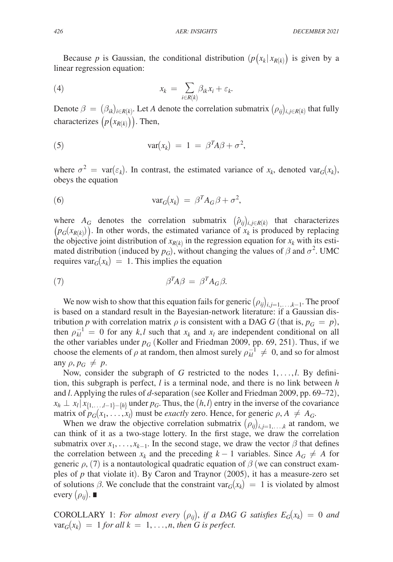Because *p* is Gaussian, the conditional distribution  $(p(x_k | x_{R(k)})$  is given by a linear regression equation:

(4) 
$$
x_k = \sum_{i \in R(k)} \beta_{ik} x_i + \varepsilon_k.
$$

Denote  $\beta = (\beta_{ik})_{i \in R(k)}$ . Let *A* denote the correlation submatrix  $(\rho_{ij})_{i,j \in R(k)}$  that fully characterizes  $(p(x_{R(k)}))$ . Then,

(5) 
$$
var(x_k) = 1 = \beta^T A \beta + \sigma^2,
$$

where  $\sigma^2$  = var( $\varepsilon_k$ ). In contrast, the estimated variance of  $x_k$ , denoted var<sub>*G*</sub>( $x_k$ ), obeys the equation

(6) 
$$
\text{var}_G(x_k) = \beta^T A_G \beta + \sigma^2,
$$

where  $A_G$  denotes the correlation submatrix  $(\hat{\rho}_{ij})_{i,j\in R(k)}$  that characterizes  $(p_G(x_{R(k)}))$ . In other words, the estimated variance of  $x_k$  is produced by replacing the objective joint distribution of  $x_{R(k)}$  in the regression equation for  $x_k$  with its estimated distribution (induced by  $p_G$ ), without changing the values of  $\beta$  and  $\sigma^2$ . UMC requires var $G(x_k) = 1$ . This implies the equation

$$
\beta^T A \beta = \beta^T A_G \beta.
$$

We now wish to show that this equation fails for generic  $(\rho_{ij})_{i,j=1,\ldots,k-1}$ . The proof is based on a standard result in the Bayesian-network literature: if a Gaussian distribution *p* with correlation matrix  $\rho$  is consistent with a DAG *G* (that is,  $p_G = p$ ), then  $\rho_{kl}^{-1} = 0$  for any *k*,*l* such that  $x_k$  and  $x_l$  are independent conditional on all the other variables under  $p_G$  (Koller and Friedman 2009, pp. 69, 251). Thus, if we choose the elements of  $\rho$  at random, then almost surely  $\rho_{kl}^{-1} \neq 0$ , and so for almost any  $\rho, p_G \neq p$ .

Now, consider the subgraph of *G* restricted to the nodes 1,…,*l*. By definition, this subgraph is perfect, *l* is a terminal node, and there is no link between *h* and *l*. Applying the rules of *d*-separation (see Koller and Friedman 2009, pp. 69–72),  $x_h \perp x_l | x_{\{1,\ldots,l-1\}-\{h\}}$  under  $p_G$ . Thus, the  $(h, l)$  entry in the inverse of the covariance matrix of  $p_G(x_1, \ldots, x_l)$  must be *exactly* zero. Hence, for generic  $\rho, A \neq A_G$ .

When we draw the objective correlation submatrix  $(\rho_{ij})_{i,j=1,\dots,k}$  at random, we can think of it as a two-stage lottery. In the first stage, we draw the correlation submatrix over  $x_1, \ldots, x_{k-1}$ . In the second stage, we draw the vector  $\beta$  that defines the correlation between  $x_k$  and the preceding  $k-1$  variables. Since  $A_G \neq A$  for generic  $\rho$ , (7) is a nontautological quadratic equation of  $\beta$  (we can construct examples of *p* that violate it). By Caron and Traynor (2005), it has a measure-zero set of solutions  $\beta$ . We conclude that the constraint var $_G(x_k) = 1$  is violated by almost every  $(\rho_{ii})$ .  $\blacksquare$ 

COROLLARY 1: *For almost every*  $(\rho_{ij})$ , *if a DAG G satisfies*  $E_G(x_k) = 0$  and  $var_G(x_k) = 1$  *for all*  $k = 1, \ldots, n$ *, then G is perfect.*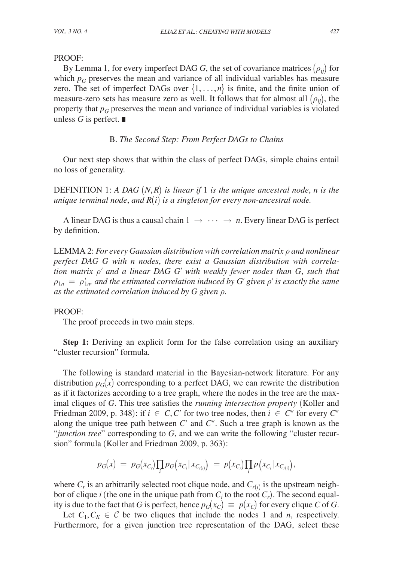## PROOF:

By Lemma 1, for every imperfect DAG *G*, the set of covariance matrices  $(\rho_{ij})$  for which  $p_G$  preserves the mean and variance of all individual variables has measure zero. The set of imperfect DAGs over  $\{1, \ldots, n\}$  is finite, and the finite union of measure-zero sets has measure zero as well. It follows that for almost all  $(\rho_{ii})$ , the property that  $p<sub>G</sub>$  preserves the mean and variance of individual variables is violated unless *G* is perfect. ∎

B. *The Second Step: From Perfect DAGs to Chains*

Our next step shows that within the class of perfect DAGs, simple chains entail no loss of generality.

DEFINITION 1: *A DAG* (*N*,*R*) *is linear if* 1 *is the unique ancestral node*, *n is the unique terminal node*, *and R*(*i*) *is a singleton for every non-ancestral node.*

A linear DAG is thus a causal chain  $1 \rightarrow \cdots \rightarrow n$ . Every linear DAG is perfect by definition.

LEMMA 2: *For every Gaussian distribution with correlation matrix* ρ *and nonlinear perfect DAG G with n nodes*, *there exist a Gaussian distribution with correlation matrix* ρ′ *and a linear DAG G*′ *with weakly fewer nodes than G*, *such that*   $\rho_{1n} = \rho'_{1n}$  *and the estimated correlation induced by G' given*  $\rho'$  *is exactly the same as the estimated correlation induced by G given* ρ*.*

## PROOF:

The proof proceeds in two main steps.

**Step 1:** Deriving an explicit form for the false correlation using an auxiliary "cluster recursion" formula.

The following is standard material in the Bayesian-network literature. For any distribution  $p_G(x)$  corresponding to a perfect DAG, we can rewrite the distribution as if it factorizes according to a tree graph, where the nodes in the tree are the maximal cliques of *G*. This tree satisfies the *running intersection property* (Koller and Friedman 2009, p. 348): if  $i \in C, C'$  for two tree nodes, then  $i \in C''$  for every  $C''$ along the unique tree path between *C*′ and *C*″. Such a tree graph is known as the "*junction tree*" corresponding to *G*, and we can write the following "cluster recursion" formula (Koller and Friedman 2009, p. 363):

$$
p_G(x) = p_G(x_{C_r}) \prod_i p_G(x_{C_i}|x_{C_{r(i)}}) = p(x_{C_r}) \prod_i p(x_{C_i}|x_{C_{r(i)}}),
$$

where  $C_r$  is an arbitrarily selected root clique node, and  $C_{r(i)}$  is the upstream neighbor of clique *i* (the one in the unique path from  $C_i$  to the root  $C_r$ ). The second equality is due to the fact that *G* is perfect, hence  $p_G(x_C) \equiv p(x_C)$  for every clique *C* of *G*.

Let  $C_1, C_K \in \mathcal{C}$  be two cliques that include the nodes 1 and *n*, respectively. Furthermore, for a given junction tree representation of the DAG, select these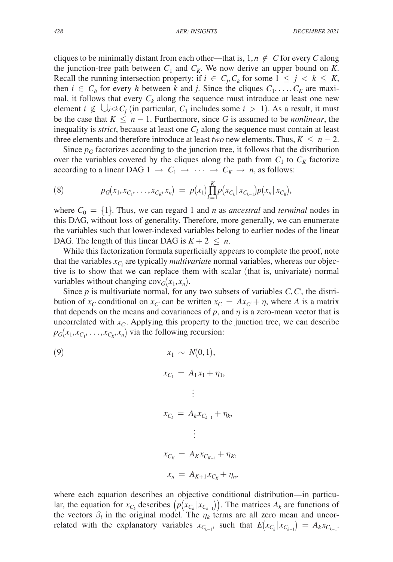cliques to be minimally distant from each other—that is,  $1, n \notin C$  for every *C* along the junction-tree path between  $C_1$  and  $C_K$ . We now derive an upper bound on K. Recall the running intersection property: if  $i \in C_j, C_k$  for some  $1 \leq j \leq k \leq K$ , then  $i \in C_h$  for every *h* between *k* and *j*. Since the cliques  $C_1, \ldots, C_K$  are maximal, it follows that every  $C_k$  along the sequence must introduce at least one new element *i* ∉ ∪*j*< $kC_i$  (in particular,  $C_1$  includes some *i* > 1). As a result, it must be the case that  $K \leq n - 1$ . Furthermore, since G is assumed to be *nonlinear*, the inequality is *strict*, because at least one  $C_k$  along the sequence must contain at least three elements and therefore introduce at least *two* new elements. Thus,  $K \leq n-2$ .

Since  $p_G$  factorizes according to the junction tree, it follows that the distribution over the variables covered by the cliques along the path from  $C_1$  to  $C_k$  factorize according to a linear DAG 1  $\rightarrow$   $C_1 \rightarrow \cdots \rightarrow C_K \rightarrow n$ , as follows:

(8) 
$$
p_G(x_1, x_{C_1}, \ldots, x_{C_K}, x_n) = p(x_1) \prod_{k=1}^K p(x_{C_k} | x_{C_{k-1}}) p(x_n | x_{C_k}),
$$

where  $C_0 = \{1\}$ . Thus, we can regard 1 and *n* as *ancestral* and *terminal* nodes in this DAG, without loss of generality. Therefore, more generally, we can enumerate the variables such that lower-indexed variables belong to earlier nodes of the linear DAG. The length of this linear DAG is  $K + 2 \leq n$ .

While this factorization formula superficially appears to complete the proof, note that the variables  $x_{C_k}$  are typically *multivariate* normal variables, whereas our objective is to show that we can replace them with scalar (that is, univariate) normal variables without changing  $cov_G(x_1, x_n)$ .

Since *p* is multivariate normal, for any two subsets of variables *C*,*C*′, the distribution of  $x_C$  conditional on  $x_C$  can be written  $x_C = Ax_{C'} + \eta$ , where *A* is a matrix that depends on the means and covariances of  $p$ , and  $\eta$  is a zero-mean vector that is uncorrelated with  $x_{C'}$ . Applying this property to the junction tree, we can describe  $p_G(x_1, x_{C_1}, \ldots, x_{C_K}, x_n)$  via the following recursion:

(9)  
\n
$$
x_{1} \sim N(0, 1),
$$
\n
$$
x_{C_{1}} = A_{1}x_{1} + \eta_{1},
$$
\n
$$
\vdots
$$
\n
$$
x_{C_{k}} = A_{k}x_{C_{k-1}} + \eta_{k},
$$
\n
$$
\vdots
$$
\n
$$
x_{C_{K}} = A_{K}x_{C_{K-1}} + \eta_{K},
$$
\n
$$
x_{n} = A_{K+1}x_{C_{K}} + \eta_{n},
$$

where each equation describes an objective conditional distribution—in particular, the equation for  $x_{C_k}$  describes  $(p(x_{C_k}|x_{C_{k-1}}))$ . The matrices  $A_k$  are functions of the vectors  $\beta_i$  in the original model. The  $\eta_k$  terms are all zero mean and uncorrelated with the explanatory variables  $x_{C_{k-1}}$ , such that  $E(x_{C_k}|x_{C_{k-1}}) = A_k x_{C_{k-1}}$ .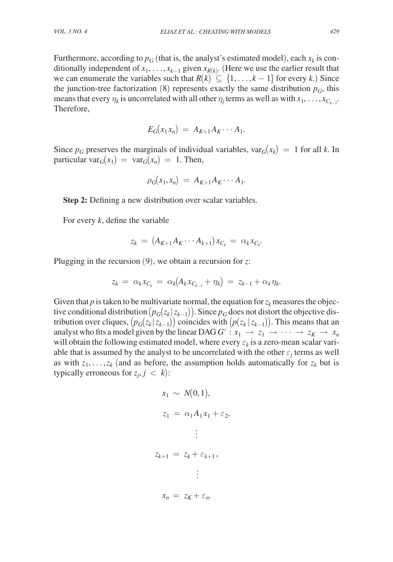Furthermore, according to  $p_G$  (that is, the analyst's estimated model), each  $x_k$  is conditionally independent of  $x_1, \ldots, x_{k-1}$  given  $x_{R(k)}$ . (Here we use the earlier result that we can enumerate the variables such that  $R(k) \subseteq \{1, \ldots, k-1\}$  for every *k*.) Since the junction-tree factorization  $(8)$  represents exactly the same distribution  $p_G$ , this means that every  $\eta_k$  is uncorrelated with all other  $\eta_j$  terms as well as with  $x_1, \ldots, x_{C_{k-2}}$ . Therefore,

$$
E_G(x_1x_n) = A_{K+1}A_K \cdots A_1.
$$

Since  $p_G$  preserves the marginals of individual variables,  $var_G(x_k) = 1$  for all *k*. In particular var $G(x_1) = \text{var}_G(x_n) = 1$ . Then,

$$
\rho_G(x_1,x_n) = A_{K+1}A_K \cdots A_1.
$$

**Step 2:** Defining a new distribution over scalar variables.

For every *k*, define the variable

$$
z_k = (A_{K+1}A_K \cdots A_{k+1})x_{C_k} = \alpha_k x_{C_k}.
$$

Plugging in the recursion (9), we obtain a recursion for *z*:

$$
z_k = \alpha_k x_{C_k} = \alpha_k (A_k x_{C_{k-1}} + \eta_k) = z_{k-1} + \alpha_k \eta_k.
$$

Given that  $p$  is taken to be multivariate normal, the equation for  $z_k$  measures the objective conditional distribution  $(p_G(z_k | z_{k-1}))$ . Since  $p_G$  does not distort the objective distribution over cliques,  $(p_G(z_k | z_{k-1}))$  coincides with  $(p(z_k | z_{k-1}))$ . This means that an analyst who fits a model given by the linear DAG  $G' : x_1 \to z_1 \to \cdots \to z_K \to x_n$ will obtain the following estimated model, where every  $\varepsilon_k$  is a zero-mean scalar variable that is assumed by the analyst to be uncorrelated with the other  $\varepsilon_j$  terms as well as with  $z_1, \ldots, z_k$  (and as before, the assumption holds automatically for  $z_k$  but is typically erroneous for  $z_j$ ,  $j < k$ ):

$$
x_1 \sim N(0, 1),
$$
  
\n
$$
z_1 = \alpha_1 A_1 x_1 + \varepsilon_2,
$$
  
\n
$$
\vdots
$$
  
\n
$$
z_{k+1} = z_k + \varepsilon_{k+1},
$$
  
\n
$$
\vdots
$$
  
\n
$$
x_n = z_K + \varepsilon_n.
$$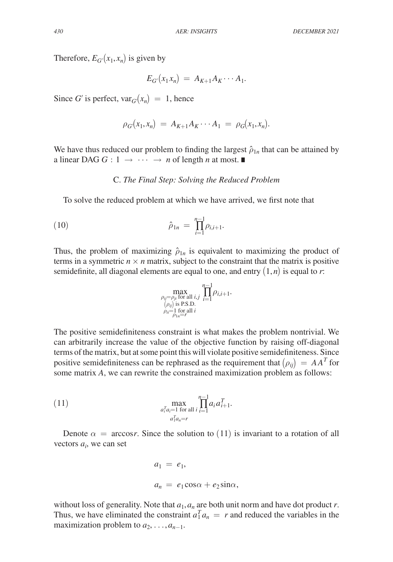Therefore,  $E_{G'}(x_1, x_n)$  is given by

$$
E_{G'}(x_1x_n) = A_{K+1}A_K \cdots A_1.
$$

Since *G'* is perfect,  $var_G(x_n) = 1$ , hence

$$
\rho_G(x_1, x_n) = A_{K+1} A_K \cdots A_1 = \rho_G(x_1, x_n).
$$

We have thus reduced our problem to finding the largest  $\hat{\rho}_{1n}$  that can be attained by a linear DAG  $G : 1 \rightarrow \cdots \rightarrow n$  of length *n* at most.

### C. *The Final Step: Solving the Reduced Problem*

To solve the reduced problem at which we have arrived, we first note that

(10) 
$$
\hat{\rho}_{1n} = \prod_{i=1}^{n-1} \rho_{i,i+1}.
$$

Thus, the problem of maximizing  $\hat{\rho}_{1n}$  is equivalent to maximizing the product of terms in a symmetric  $n \times n$  matrix, subject to the constraint that the matrix is positive semidefinite, all diagonal elements are equal to one, and entry  $(1, n)$  is equal to *r*:

$$
\max_{\substack{\rho_{ij}=\rho_{ji} \text{ for all } i,j \\ (\rho_{ij}) \text{ is P.S.D.} \\ \rho_{ii}=\frac{1}{\rho_{1,n}=r} \text{ for all } i}} \prod_{i=1}^{n-1} \rho_{i,i+1}.
$$

The positive semidefiniteness constraint is what makes the problem nontrivial. We can arbitrarily increase the value of the objective function by raising off-diagonal terms of the matrix, but at some point this will violate positive semidefiniteness. Since positive semidefiniteness can be rephrased as the requirement that  $(\rho_{ij}) = AA^T$  for some matrix *A*, we can rewrite the constrained maximization problem as follows:

(11) 
$$
\max_{\substack{a_i^T a_i = 1 \text{ for all } i}} \prod_{i=1}^{n-1} a_i a_{i+1}^T.
$$

Denote  $\alpha$  = arccos*r*. Since the solution to (11) is invariant to a rotation of all vectors  $a_i$ , we can set

$$
a_1 = e_1,
$$
  

$$
a_n = e_1 \cos \alpha + e_2 \sin \alpha,
$$

without loss of generality. Note that  $a_1$ ,  $a_n$  are both unit norm and have dot product *r*. Thus, we have eliminated the constraint  $a_1^T a_n = r$  and reduced the variables in the maximization problem to  $a_2, \ldots, a_{n-1}$ .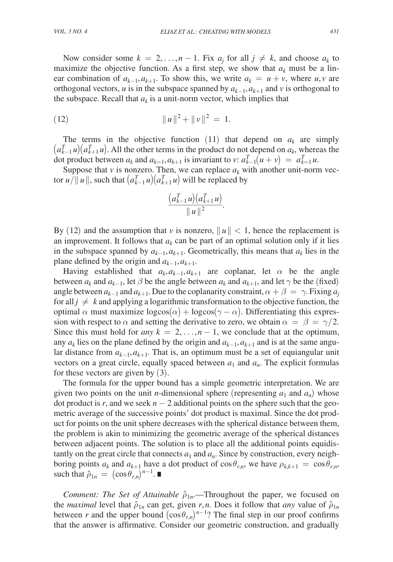Now consider some  $k = 2, ..., n - 1$ . Fix  $a_j$  for all  $j \neq k$ , and choose  $a_k$  to maximize the objective function. As a first step, we show that  $a_k$  must be a linear combination of  $a_{k-1}, a_{k+1}$ . To show this, we write  $a_k = u + v$ , where  $u, v$  are orthogonal vectors, *u* is in the subspace spanned by  $a_{k-1}, a_{k+1}$  and *v* is orthogonal to the subspace. Recall that  $a_k$  is a unit-norm vector, which implies that

(12) 
$$
\|u\|^2 + \|v\|^2 = 1.
$$

The terms in the objective function  $(11)$  that depend on  $a_k$  are simply  $(a_{k-1}^T u)(a_{k+1}^T u)$ . All the other terms in the product do not depend on  $a_k$ , whereas the dot product between  $a_k$  and  $a_{k=1}, a_{k+1}$  is invariant to *v*:  $a_{k-1}^T(u + v) = a_{k=1}^T u$ .

Suppose that  $\nu$  is nonzero. Then, we can replace  $a_k$  with another unit-norm vector  $u/\Vert u \Vert$ , such that  $\left( a_{k-1}^T u \right) \left( a_{k+1}^T u \right)$  will be replaced by

$$
\frac{(a_{k-1}^T u)(a_{k+1}^T u)}{\|u\|^2}.
$$

By (12) and the assumption that *v* is nonzero,  $||u|| < 1$ , hence the replacement is an improvement. It follows that  $a_k$  can be part of an optimal solution only if it lies in the subspace spanned by  $a_{k-1}, a_{k+1}$ . Geometrically, this means that  $a_k$  lies in the plane defined by the origin and  $a_{k-1}, a_{k+1}$ .

Having established that  $a_k, a_{k-1}, a_{k+1}$  are coplanar, let  $\alpha$  be the angle between  $a_k$  and  $a_{k-1}$ , let  $\beta$  be the angle between  $a_k$  and  $a_{k+1}$ , and let  $\gamma$  be the (fixed) angle between  $a_{k-1}$  and  $a_{k+1}$ . Due to the coplanarity constraint,  $\alpha + \beta = \gamma$ . Fixing  $a_i$ for all  $j \neq k$  and applying a logarithmic transformation to the objective function, the optimal α must maximize  $log cos(α) + log cos(γ - α)$ . Differentiating this expression with respect to  $\alpha$  and setting the derivative to zero, we obtain  $\alpha = \beta = \gamma/2$ . Since this must hold for *any*  $k = 2, \ldots, n - 1$ , we conclude that at the optimum, any *ak* lies on the plane defined by the origin and *ak*−1, *ak*+1 and is at the same angular distance from *ak*−1, *ak*+1. That is, an optimum must be a set of equiangular unit vectors on a great circle, equally spaced between  $a_1$  and  $a_n$ . The explicit formulas for these vectors are given by (3).

The formula for the upper bound has a simple geometric interpretation. We are given two points on the unit *n*-dimensional sphere (representing  $a_1$  and  $a_n$ ) whose dot product is *r*, and we seek  $n - 2$  additional points on the sphere such that the geometric average of the successive points' dot product is maximal. Since the dot product for points on the unit sphere decreases with the spherical distance between them, the problem is akin to minimizing the geometric average of the spherical distances between adjacent points. The solution is to place all the additional points equidistantly on the great circle that connects  $a_1$  and  $a_n$ . Since by construction, every neighboring points  $a_k$  and  $a_{k+1}$  have a dot product of  $\cos \theta_{r,n}$ , we have  $\rho_{k,k+1} = \cos \theta_{r,n}$ , such that  $\hat{\rho}_{1n} = (\cos \theta_{r,n})^{n-1}$ .

*Comment: The Set of Attainable*  $\hat{\rho}_{1n}$ —Throughout the paper, we focused on the *maximal* level that  $\hat{\rho}_{1n}$  can get, given *r*,*n*. Does it follow that *any* value of  $\hat{\rho}_{1n}$ between *r* and the upper bound  $(\cos \theta_{r,n})^{n-1}$ ? The final step in our proof confirms that the answer is affirmative. Consider our geometric construction, and gradually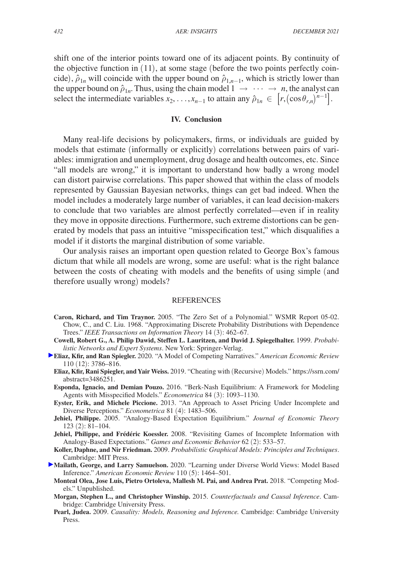shift one of the interior points toward one of its adjacent points. By continuity of the objective function in (11), at some stage (before the two points perfectly coincide),  $\hat{\rho}_{1n}$  will coincide with the upper bound on  $\hat{\rho}_{1,n-1}$ , which is strictly lower than the upper bound on  $\hat{\rho}_{1n}$ . Thus, using the chain model  $1 \rightarrow \cdots \rightarrow n$ , the analyst can select the intermediate variables  $x_2, \ldots, x_{n-1}$  to attain any  $\hat{\rho}_{1n} \in [r, (\cos \theta_{r,n})^{n-1}]$ .

# **IV. Conclusion**

Many real-life decisions by policymakers, firms, or individuals are guided by models that estimate (informally or explicitly) correlations between pairs of variables: immigration and unemployment, drug dosage and health outcomes, etc. Since "all models are wrong," it is important to understand how badly a wrong model can distort pairwise correlations. This paper showed that within the class of models represented by Gaussian Bayesian networks, things can get bad indeed. When the model includes a moderately large number of variables, it can lead decision-makers to conclude that two variables are almost perfectly correlated—even if in reality they move in opposite directions. Furthermore, such extreme distortions can be generated by models that pass an intuitive "misspecification test," which disqualifies a model if it distorts the marginal distribution of some variable.

Our analysis raises an important open question related to George Box's famous dictum that while all models are wrong, some are useful: what is the right balance between the costs of cheating with models and the benefits of using simple (and therefore usually wrong) models?

#### **REFERENCES**

- **Caron, Richard, and Tim Traynor.** 2005. "The Zero Set of a Polynomial." WSMR Report 05-02. Chow, C., and C. Liu. 1968. "Approximating Discrete Probability Distributions with Dependence Trees." *IEEE Transactions on Information Theory* 14 (3): 462–67.
- **Cowell, Robert G., A. Philip Dawid, Steffen L. Lauritzen, and David J. Spiegelhalter.** 1999. *Probabilistic Networks and Expert Systems*. New York: Springer-Verlag.
- **Eliaz, Kfir, and Ran Spiegler.** 2020. "A Model of Competing Narratives." *American Economic Review* 110 (12): 3786–816.
	- **Eliaz, Kfir, Rani Spiegler, and Yair Weiss.** 2019. "Cheating with (Recursive) Models." [https://ssrn.com/](https://ssrn.com/abstract=3486251) [abstract=3486251.](https://ssrn.com/abstract=3486251)
	- **Esponda, Ignacio, and Demian Pouzo.** 2016. "Berk-Nash Equilibrium: A Framework for Modeling Agents with Misspecified Models." *Econometrica* 84 (3): 1093–1130.
	- **Eyster, Erik, and Michele Piccione.** 2013. "An Approach to Asset Pricing Under Incomplete and Diverse Perceptions." *Econometrica* 81 (4): 1483–506.
	- **Jehiel, Philippe.** 2005. "Analogy-Based Expectation Equilibrium." *Journal of Economic Theory* 123 (2): 81–104.
	- **Jehiel, Philippe, and Frédéric Koessler.** 2008. "Revisiting Games of Incomplete Information with Analogy-Based Expectations." *Games and Economic Behavior* 62 (2): 533–57.
	- **Koller, Daphne, and Nir Friedman.** 2009. *Probabilistic Graphical Models: Principles and Techniques*. Cambridge: MIT Press.
- **Mailath, George, and Larry Samuelson.** 2020. "Learning under Diverse World Views: Model Based Inference." *American Economic Review* 110 (5): 1464–501.
	- **Monteal Olea, Jose Luis, Pietro Ortoleva, Mallesh M. Pai, and Andrea Prat.** 2018. "Competing Models." Unpublished.
	- **Morgan, Stephen L., and Christopher Winship.** 2015. *Counterfactuals and Causal Inference*. Cambridge: Cambridge University Press.
	- **Pearl, Judea.** 2009. *Causality: Models, Reasoning and Inference.* Cambridge: Cambridge University Press.